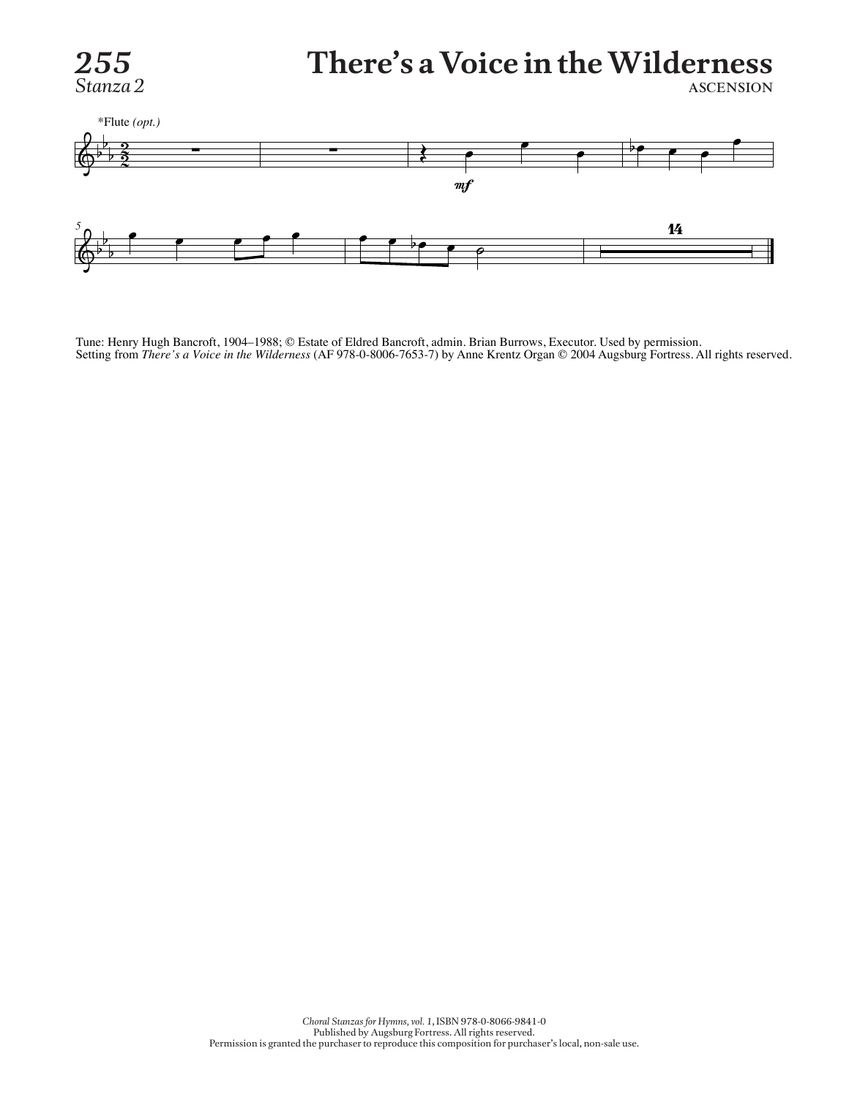

#### *255* **There's a Voice in the Wilderness Stanza 2** ascension



Tune: Henry Hugh Bancroft, 1904–1988; © Estate of Eldred Bancroft, admin. Brian Burrows, Executor. Used by permission. Setting from *There's a Voice in the Wilderness* (AF 978-0-8006-7653-7) by Anne Krentz Organ © 2004 Augsburg Fortress. All rights reserved.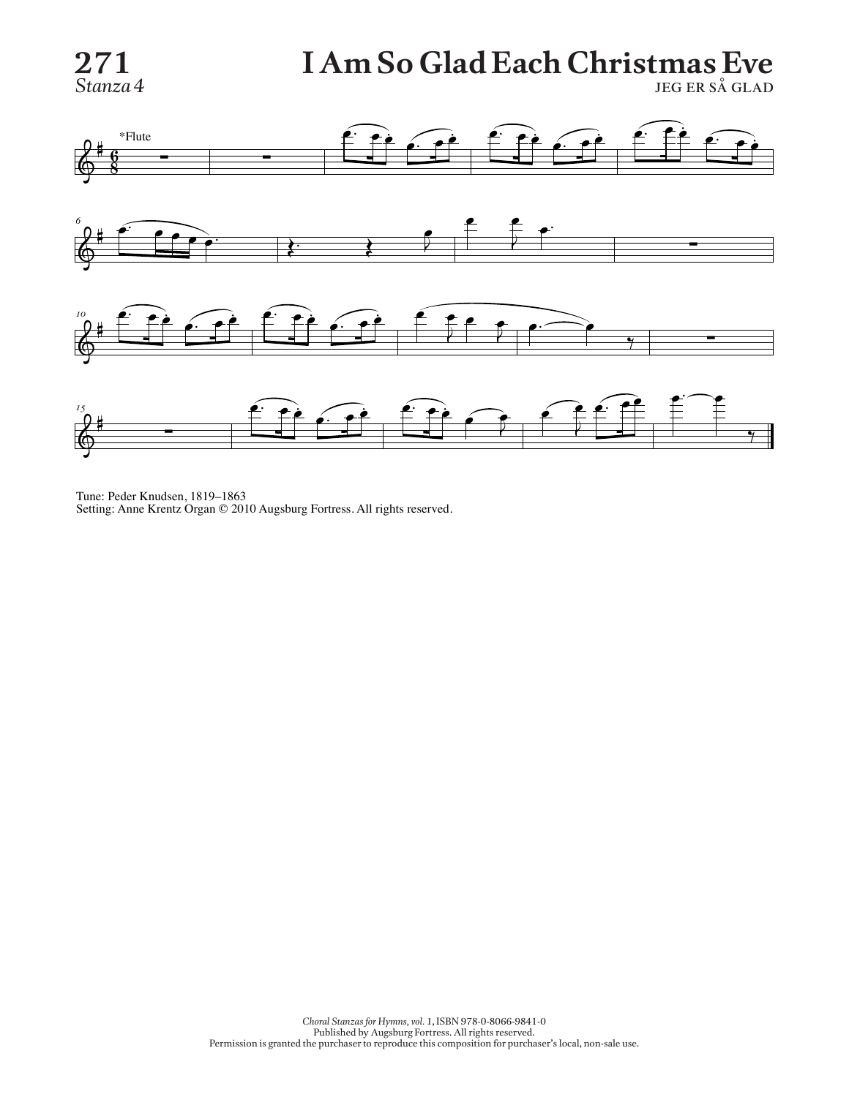## **271 I Am So Glad Each Christmas Eve**

**Stanza 4** jeg er så GLAD



Tune: Peder Knudsen, 1819–1863 Setting: Anne Krentz Organ © 2010 Augsburg Fortress. All rights reserved.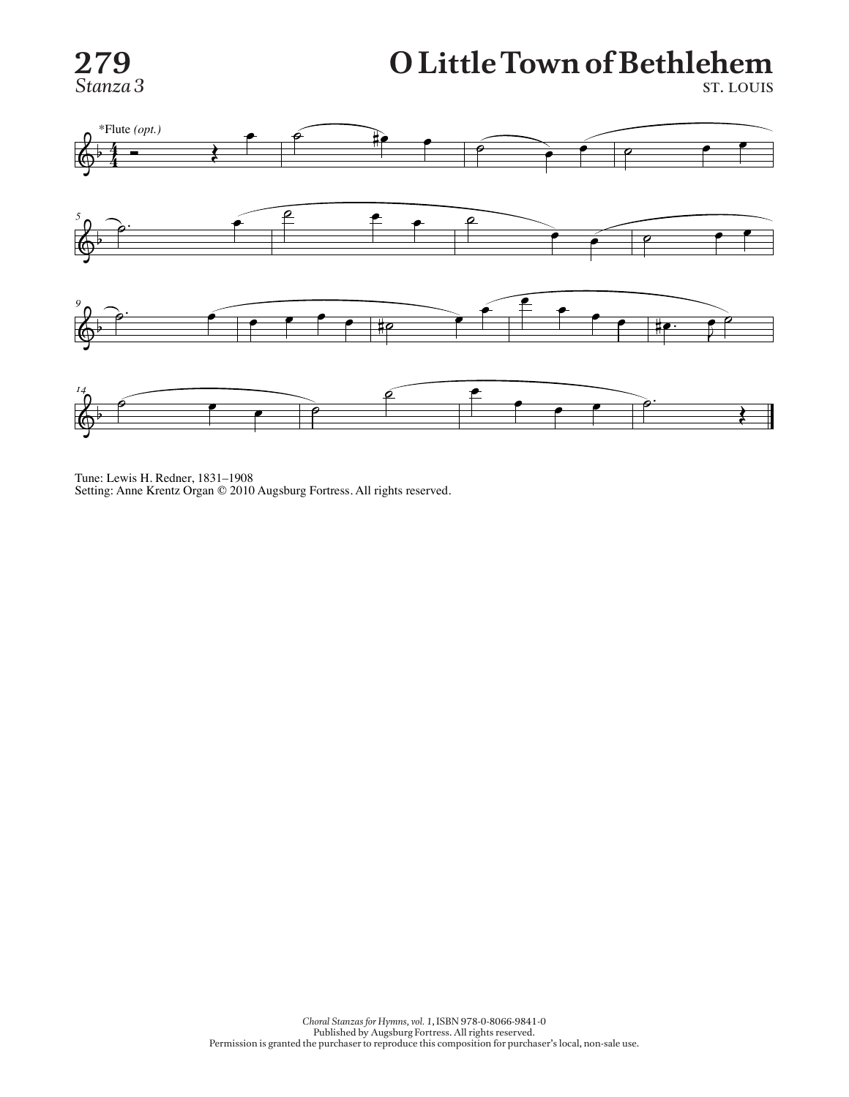

### **279 O Little Town of Bethlehem 279 279 279 279 279 279 279 279 279 279 279 279 279 279 279 279 279 279 279 279 270 270 270 270 270 270 270 270 270 270 270 270 270 270 270 270 270**



Tune: Lewis H. Redner, 1831–1908 Setting: Anne Krentz Organ © 2010 Augsburg Fortress. All rights reserved.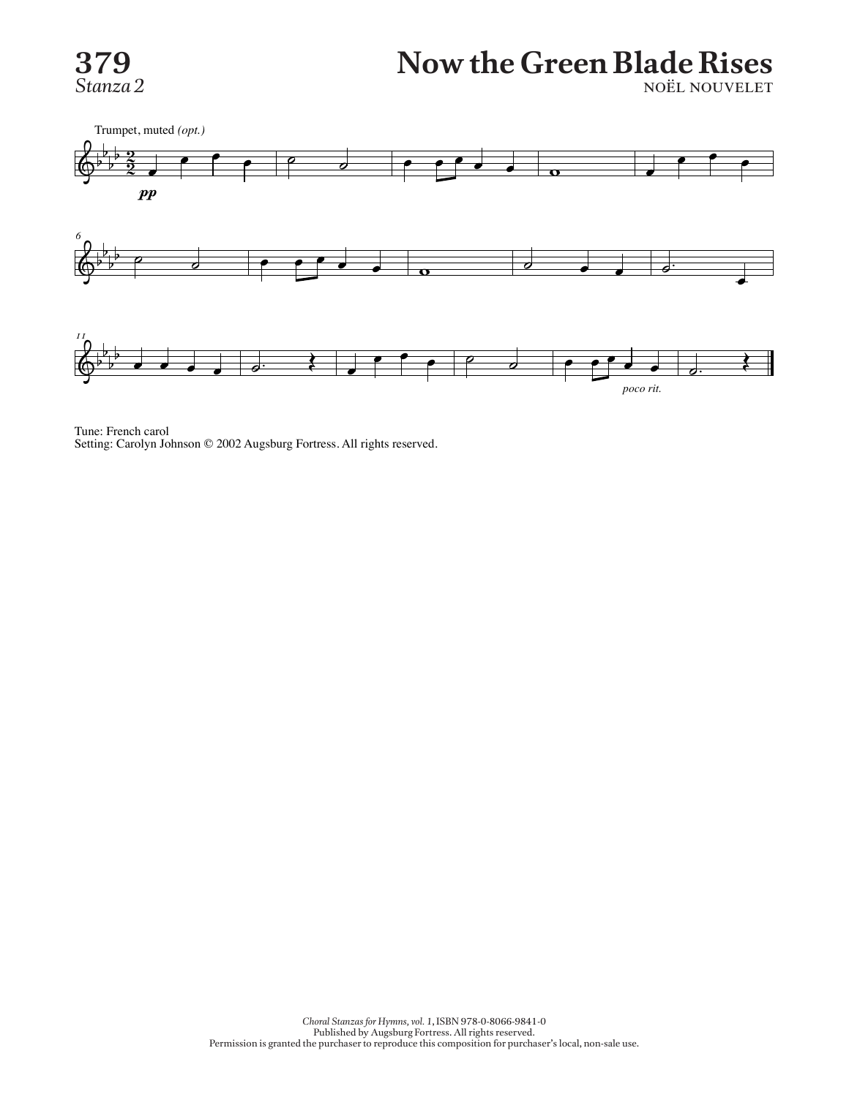

# **379** Now the Green Blade Rises

*Stanza 2* noël nouvelet



Tune: French carol Setting: Carolyn Johnson © 2002 Augsburg Fortress. All rights reserved.